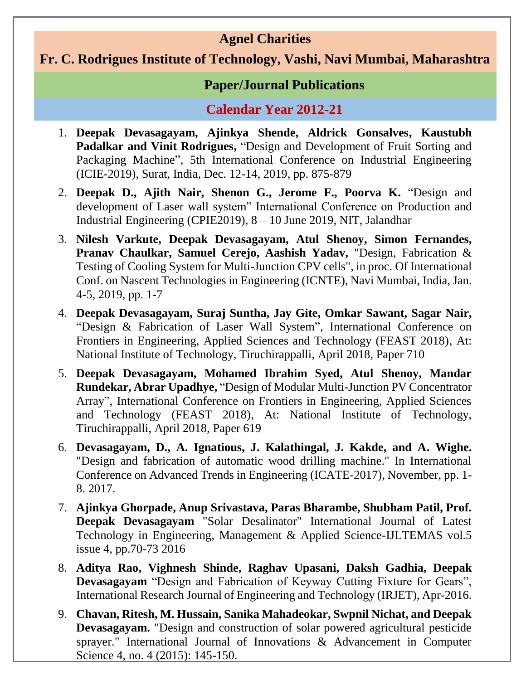## **Agnel Charities**

## **Fr. C. Rodrigues Institute of Technology, Vashi, Navi Mumbai, Maharashtra**

## **Paper/Journal Publications**

## **Calendar Year 2012-21**

- 1. **Deepak Devasagayam, Ajinkya Shende, Aldrick Gonsalves, Kaustubh Padalkar and Vinit Rodrigues,** "Design and Development of Fruit Sorting and Packaging Machine", 5th International Conference on Industrial Engineering (ICIE-2019), Surat, India, Dec. 12-14, 2019, pp. 875-879
- 2. **Deepak D., Ajith Nair, Shenon G., Jerome F., Poorva K.** "Design and development of Laser wall system" International Conference on Production and Industrial Engineering (CPIE2019), 8 – 10 June 2019, NIT, Jalandhar
- 3. **Nilesh Varkute, Deepak Devasagayam, Atul Shenoy, Simon Fernandes, Pranav Chaulkar, Samuel Cerejo, Aashish Yadav,** "Design, Fabrication & Testing of Cooling System for Multi-Junction CPV cells", in proc. Of International Conf. on Nascent Technologies in Engineering (ICNTE), Navi Mumbai, India, Jan. 4-5, 2019, pp. 1-7
- 4. **Deepak Devasagayam, Suraj Suntha, Jay Gite, Omkar Sawant, Sagar Nair,** "Design & Fabrication of Laser Wall System", International Conference on Frontiers in Engineering, Applied Sciences and Technology (FEAST 2018), At: National Institute of Technology, Tiruchirappalli, April 2018, Paper 710
- 5. **Deepak Devasagayam, Mohamed Ibrahim Syed, Atul Shenoy, Mandar Rundekar, Abrar Upadhye,** "Design of Modular Multi-Junction PV Concentrator Array", International Conference on Frontiers in Engineering, Applied Sciences and Technology (FEAST 2018), At: National Institute of Technology, Tiruchirappalli, April 2018, Paper 619
- 6. **Devasagayam, D., A. Ignatious, J. Kalathingal, J. Kakde, and A. Wighe.** "Design and fabrication of automatic wood drilling machine." In International Conference on Advanced Trends in Engineering (ICATE-2017), November, pp. 1- 8. 2017.
- 7. **Ajinkya Ghorpade, Anup Srivastava, Paras Bharambe, Shubham Patil, Prof. Deepak Devasagayam** "Solar Desalinator" International Journal of Latest Technology in Engineering, Management & Applied Science-IJLTEMAS vol.5 issue 4, pp.70-73 2016
- 8. **Aditya Rao, Vighnesh Shinde, Raghav Upasani, Daksh Gadhia, Deepak Devasagayam** "Design and Fabrication of Keyway Cutting Fixture for Gears", International Research Journal of Engineering and Technology (IRJET), Apr-2016.
- 9. **Chavan, Ritesh, M. Hussain, Sanika Mahadeokar, Swpnil Nichat, and Deepak Devasagayam.** "Design and construction of solar powered agricultural pesticide sprayer." International Journal of Innovations & Advancement in Computer Science 4, no. 4 (2015): 145-150.